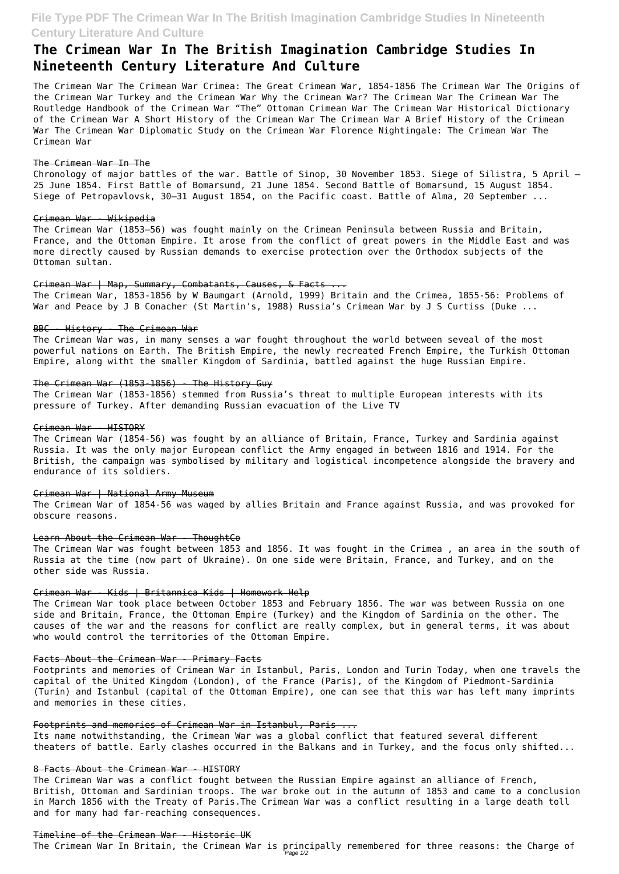# **File Type PDF The Crimean War In The British Imagination Cambridge Studies In Nineteenth Century Literature And Culture**

# **The Crimean War In The British Imagination Cambridge Studies In Nineteenth Century Literature And Culture**

The Crimean War The Crimean War Crimea: The Great Crimean War, 1854-1856 The Crimean War The Origins of the Crimean War Turkey and the Crimean War Why the Crimean War? The Crimean War The Crimean War The Routledge Handbook of the Crimean War "The" Ottoman Crimean War The Crimean War Historical Dictionary of the Crimean War A Short History of the Crimean War The Crimean War A Brief History of the Crimean War The Crimean War Diplomatic Study on the Crimean War Florence Nightingale: The Crimean War The Crimean War

The Crimean War, 1853-1856 by W Baumgart (Arnold, 1999) Britain and the Crimea, 1855-56: Problems of War and Peace by J B Conacher (St Martin's, 1988) Russia's Crimean War by J S Curtiss (Duke ...

### The Crimean War In The

Chronology of major battles of the war. Battle of Sinop, 30 November 1853. Siege of Silistra, 5 April – 25 June 1854. First Battle of Bomarsund, 21 June 1854. Second Battle of Bomarsund, 15 August 1854. Siege of Petropavlovsk, 30–31 August 1854, on the Pacific coast. Battle of Alma, 20 September ...

### Crimean War - Wikipedia

The Crimean War (1853–56) was fought mainly on the Crimean Peninsula between Russia and Britain, France, and the Ottoman Empire. It arose from the conflict of great powers in the Middle East and was more directly caused by Russian demands to exercise protection over the Orthodox subjects of the Ottoman sultan.

### Crimean War | Map, Summary, Combatants, Causes, & Facts ...

### BBC - History - The Crimean War

The Crimean War was, in many senses a war fought throughout the world between seveal of the most powerful nations on Earth. The British Empire, the newly recreated French Empire, the Turkish Ottoman Empire, along witht the smaller Kingdom of Sardinia, battled against the huge Russian Empire.

### The Crimean War (1853-1856) - The History Guy

The Crimean War (1853-1856) stemmed from Russia's threat to multiple European interests with its pressure of Turkey. After demanding Russian evacuation of the Live TV

### Crimean War - HISTORY

The Crimean War (1854-56) was fought by an alliance of Britain, France, Turkey and Sardinia against Russia. It was the only major European conflict the Army engaged in between 1816 and 1914. For the British, the campaign was symbolised by military and logistical incompetence alongside the bravery and endurance of its soldiers.

### Crimean War | National Army Museum

The Crimean War of 1854-56 was waged by allies Britain and France against Russia, and was provoked for obscure reasons.

### Learn About the Crimean War - ThoughtCo

The Crimean War was fought between 1853 and 1856. It was fought in the Crimea , an area in the south of Russia at the time (now part of Ukraine). On one side were Britain, France, and Turkey, and on the other side was Russia.

### Crimean War - Kids | Britannica Kids | Homework Help

The Crimean War took place between October 1853 and February 1856. The war was between Russia on one side and Britain, France, the Ottoman Empire (Turkey) and the Kingdom of Sardinia on the other. The causes of the war and the reasons for conflict are really complex, but in general terms, it was about who would control the territories of the Ottoman Empire.

### Facts About the Crimean War - Primary Facts

Footprints and memories of Crimean War in Istanbul, Paris, London and Turin Today, when one travels the capital of the United Kingdom (London), of the France (Paris), of the Kingdom of Piedmont-Sardinia (Turin) and Istanbul (capital of the Ottoman Empire), one can see that this war has left many imprints and memories in these cities.

### Footprints and memories of Crimean War in Istanbul, Paris ...

Its name notwithstanding, the Crimean War was a global conflict that featured several different theaters of battle. Early clashes occurred in the Balkans and in Turkey, and the focus only shifted...

### 8 Facts About the Crimean War - HISTORY

The Crimean War was a conflict fought between the Russian Empire against an alliance of French, British, Ottoman and Sardinian troops. The war broke out in the autumn of 1853 and came to a conclusion in March 1856 with the Treaty of Paris.The Crimean War was a conflict resulting in a large death toll and for many had far-reaching consequences.

### Timeline of the Crimean War - Historic UK

The Crimean War In Britain, the Crimean War is principally remembered for three reasons: the Charge of Page 1/2